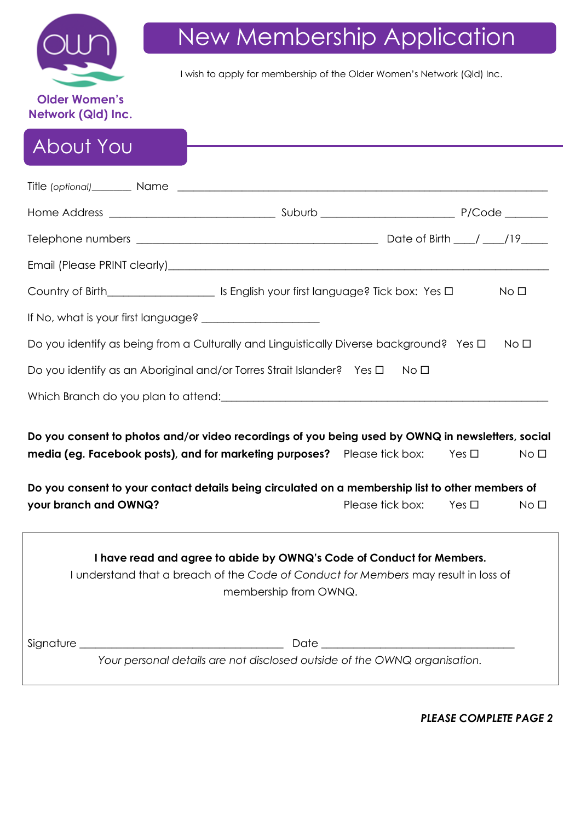

# New Membership Application

I wish to apply for membership of the Older Women's Network (Qld) Inc.

## About You

|                                                                                                                                                                                                                                                                                   |                                | No <sub>1</sub> |
|-----------------------------------------------------------------------------------------------------------------------------------------------------------------------------------------------------------------------------------------------------------------------------------|--------------------------------|-----------------|
|                                                                                                                                                                                                                                                                                   |                                |                 |
| Do you identify as being from a Culturally and Linguistically Diverse background? Yes $\Box$                                                                                                                                                                                      |                                | No <sub>D</sub> |
| Do you identify as an Aboriginal and/or Torres Strait Islander? Yes $\Box$                                                                                                                                                                                                        | No □                           |                 |
|                                                                                                                                                                                                                                                                                   |                                |                 |
| Do you consent to photos and/or video recordings of you being used by OWNQ in newsletters, social<br>media (eg. Facebook posts), and for marketing purposes? Please tick box:<br>Do you consent to your contact details being circulated on a membership list to other members of | Yes $\square$                  | No <sub>1</sub> |
| your branch and OWNQ?                                                                                                                                                                                                                                                             | Please tick box: Yes $\square$ | No <sub>1</sub> |
| I have read and agree to abide by OWNQ's Code of Conduct for Members.<br>I understand that a breach of the Code of Conduct for Members may result in loss of<br>membership from OWNQ.<br>Your personal details are not disclosed outside of the OWNQ organisation.                |                                |                 |

*PLEASE COMPLETE PAGE 2*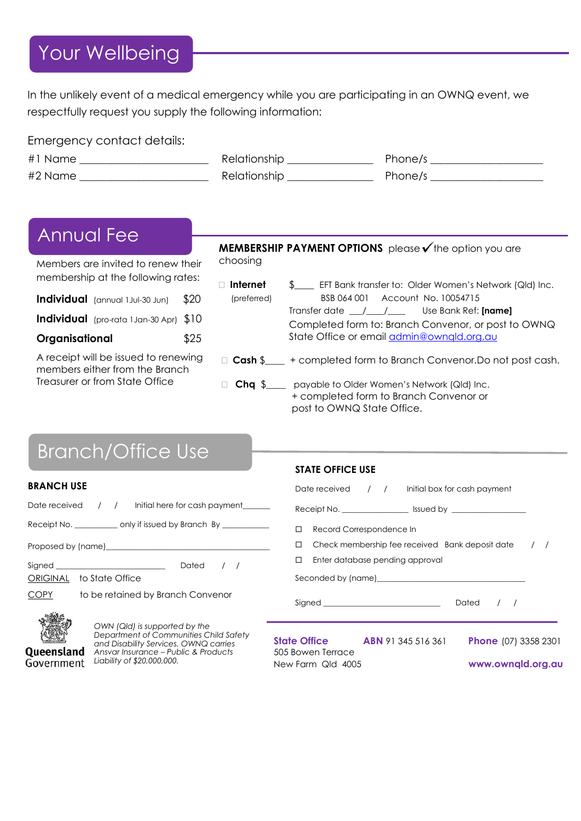### Your Wellbeing

In the unlikely event of a medical emergency while you are participating in an OWNQ event, we respectfully request you supply the following information:

| Emergency contact details: |                     |         |
|----------------------------|---------------------|---------|
| #1 Name                    | Relationship        | Phone/s |
| #2 Name                    | <b>Relationship</b> | Phone/s |

### Annual Fee

Members are invited to renew their membership at the following rates:

|                | Individual (annual 1 Jul-30 Jun)                | \$20 |
|----------------|-------------------------------------------------|------|
|                | <b>Individual</b> (pro-rata 1 Jan-30 Apr) $$10$ |      |
| Organisational |                                                 | \$25 |

A receipt will be issued to renewing members either from the Branch Treasurer or from State Office

#### **MEMBERSHIP PAYMENT OPTIONS** please **v** the option you are choosing

- □ Internet \$FT Bank transfer to: Older Women's Network (Qld) Inc. (preferred) BSB 064 001 Account No. 10054715
	- Transfer date \_\_\_/\_\_\_\_/\_\_\_\_ Use Bank Ref: **[name]** Completed form to: Branch Convenor, or post to OWNQ State Office or email [admin@ownqld.org.au](mailto:admin@ownqld.org.au)
- □ **Cash** \$ + completed form to Branch Convenor.Do not post cash.
- □ **Chq** \$\_\_\_\_ payable to Older Women's Network (Qld) Inc. + completed form to Branch Convenor or post to OWNQ State Office.

## Branch/Office Use

## **ERANCH USE**

|                          |  | Date received / / Initial here for cash payment                                                                                                                                                                                |  |  |
|--------------------------|--|--------------------------------------------------------------------------------------------------------------------------------------------------------------------------------------------------------------------------------|--|--|
|                          |  | Receipt No. ________________ only if issued by Branch By ________________                                                                                                                                                      |  |  |
|                          |  | Proposed by (name) example and the state of the state of the state of the state of the state of the state of the state of the state of the state of the state of the state of the state of the state of the state of the state |  |  |
| Signed <b>Signed</b>     |  | Dated $/$ /                                                                                                                                                                                                                    |  |  |
| ORIGINAL to State Office |  |                                                                                                                                                                                                                                |  |  |
| COPY                     |  | to be retained by Branch Convenor                                                                                                                                                                                              |  |  |



Queensland Government

*OWN (Qld) is supported by the Department of Communities Child Safety and Disability Services. OWNQ carries Ansvar Insurance – Public & Products Liability of \$20,000,000.* 

### **STATE OFFICE USE**

|        | Date received / / / Initial box for cash payment                                                                                                                                                                               |  |                                                     |           |                             |  |  |
|--------|--------------------------------------------------------------------------------------------------------------------------------------------------------------------------------------------------------------------------------|--|-----------------------------------------------------|-----------|-----------------------------|--|--|
|        |                                                                                                                                                                                                                                |  |                                                     |           |                             |  |  |
| $\Box$ | Record Correspondence In                                                                                                                                                                                                       |  |                                                     |           |                             |  |  |
| $\Box$ |                                                                                                                                                                                                                                |  | Check membership fee received Bank deposit date / / |           |                             |  |  |
| $\Box$ | Enter database pending approval                                                                                                                                                                                                |  |                                                     |           |                             |  |  |
|        | Seconded by (name) example and the second second second second second second second second second second second second second second second second second second second second second second second second second second secon |  |                                                     |           |                             |  |  |
|        |                                                                                                                                                                                                                                |  |                                                     | Dated / / |                             |  |  |
|        | <b>State Office ABN</b> 91 345 516 361<br>$\Gamma \cap \Gamma$ Davis Tampe                                                                                                                                                     |  |                                                     |           | <b>Phone</b> (07) 3358 2301 |  |  |

505 Bowen Terrace New Farm Qld 4005 **www.ownqld.org.au**